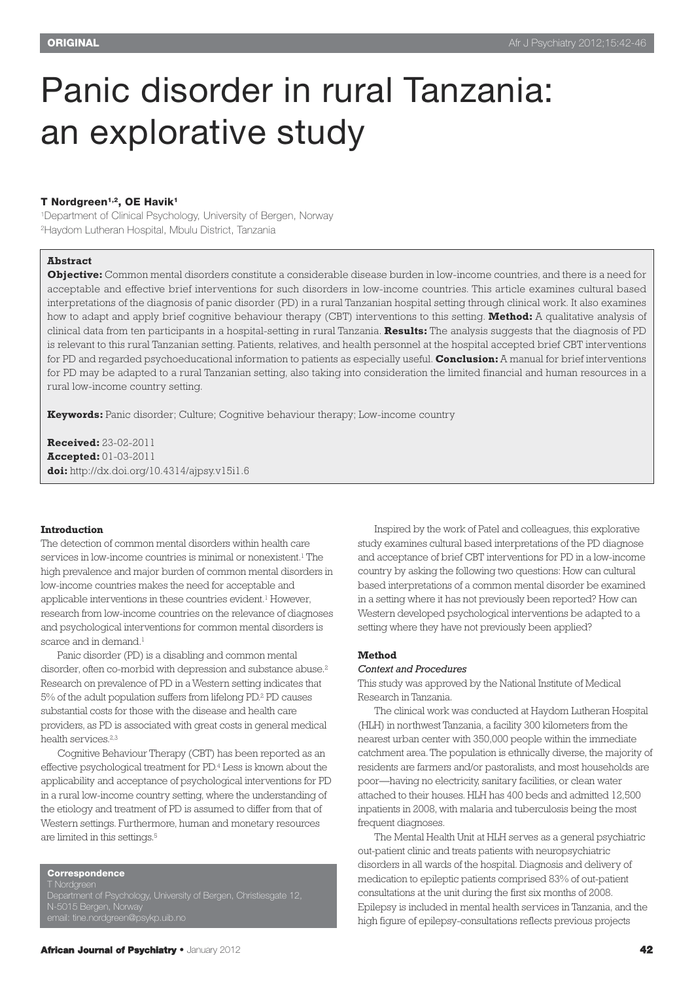# Panic disorder in rural Tanzania: an explorative study

# **T Nordgreen1,2, OE Havik1**

1Department of Clinical Psychology, University of Bergen, Norway 2Haydom Lutheran Hospital, Mbulu District, Tanzania

# **Abstract**

**Objective:** Common mental disorders constitute a considerable disease burden in low-income countries, and there is a need for acceptable and effective brief interventions for such disorders in low-income countries. This article examines cultural based interpretations of the diagnosis of panic disorder (PD) in a rural Tanzanian hospital setting through clinical work. It also examines how to adapt and apply brief cognitive behaviour therapy (CBT) interventions to this setting. **Method:** A qualitative analysis of clinical data from ten participants in a hospital-setting in rural Tanzania. **Results:** The analysis suggests that the diagnosis of PD is relevant to this rural Tanzanian setting. Patients, relatives, and health personnel at the hospital accepted brief CBT interventions for PD and regarded psychoeducational information to patients as especially useful. **Conclusion:**A manual for brief interventions for PD may be adapted to a rural Tanzanian setting, also taking into consideration the limited financial and human resources in a rural low-income country setting.

**Keywords:** Panic disorder; Culture; Cognitive behaviour therapy; Low-income country

**Received:** 23-02-2011 **Accepted:** 01-03-2011 **doi:** http://dx.doi.org/10.4314/ajpsy.v15i1.6

#### **Introduction**

The detection of common mental disorders within health care services in low-income countries is minimal or nonexistent. <sup>1</sup> The high prevalence and major burden of common mental disorders in low-income countries makes the need for acceptable and applicable interventions in these countries evident. <sup>1</sup> However, research from low-income countries on the relevance of diagnoses and psychological interventions for common mental disorders is scarce and in demand. 1

Panic disorder (PD) is a disabling and common mental disorder, often co-morbid with depression and substance abuse. 2 Research on prevalence of PD in a Western setting indicates that 5% of the adult population suffers from lifelong PD. <sup>2</sup> PD causes substantial costs for those with the disease and health care providers, as PD is associated with great costs in general medical health services. 2,3

Cognitive Behaviour Therapy (CBT) has been reported as an effective psychological treatment for PD. <sup>4</sup> Less is known about the applicability and acceptance of psychological interventions for PD in a rural low-income country setting, where the understanding of the etiology and treatment of PD is assumed to differ from that of Western settings. Furthermore, human and monetary resources are limited in this settings. 5

**Correspondence**

Department of Psychology, University of Bergen, Christiesgate 12, v-oo i o Deigeni, i vorway<br>email: tine.nordgreen@psykp.uib.no

Inspired by the work of Patel and colleagues, this explorative study examines cultural based interpretations of the PD diagnose and acceptance of brief CBT interventions for PD in a low-income country by asking the following two questions: How can cultural based interpretations of a common mental disorder be examined in a setting where it has not previously been reported? How can Western developed psychological interventions be adapted to a setting where they have not previously been applied?

# **Method**

#### *Context and Procedures*

This study was approved by the National Institute of Medical Research in Tanzania.

The clinical work was conducted at Haydom Lutheran Hospital (HLH) in northwest Tanzania, a facility 300 kilometers from the nearest urban center with 350,000 people within the immediate catchment area.The population is ethnically diverse, the majority of residents are farmers and/or pastoralists, and most households are poor—having no electricity, sanitary facilities, or clean water attached to their houses. HLH has 400 beds and admitted 12,500 inpatients in 2008, with malaria and tuberculosis being the most frequent diagnoses.

The Mental Health Unit at HLH serves as a general psychiatric out-patient clinic and treats patients with neuropsychiatric disorders in all wards of the hospital. Diagnosis and delivery of medication to epileptic patients comprised 83% of out-patient consultations at the unit during the first six months of 2008. Epilepsy is included in mental health services in Tanzania, and the high figure of epilepsy-consultations reflects previous projects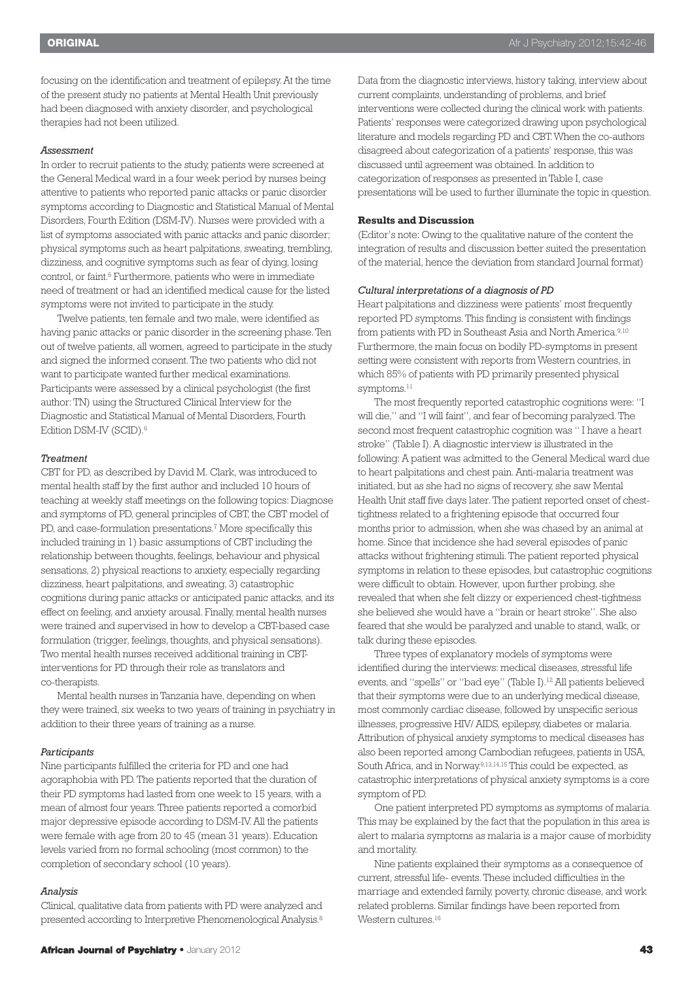focusing on the identification and treatment of epilepsy.At the time of the present study no patients at Mental Health Unit previously had been diagnosed with anxiety disorder, and psychological therapies had not been utilized.

# *Assessment*

In order to recruit patients to the study, patients were screened at the General Medical ward in a four week period by nurses being attentive to patients who reported panic attacks or panic disorder symptoms according to Diagnostic and Statistical Manual of Mental Disorders, Fourth Edition (DSM-IV). Nurses were provided with a list of symptoms associated with panic attacks and panic disorder; physical symptoms such as heart palpitations, sweating, trembling, dizziness, and cognitive symptoms such as fear of dying, losing control, or faint. <sup>6</sup> Furthermore, patients who were in immediate need of treatment or had an identified medical cause for the listed symptoms were not invited to participate in the study.

Twelve patients, ten female and two male, were identified as having panic attacks or panic disorder in the screening phase.Ten out of twelve patients, all women, agreed to participate in the study and signed the informed consent.The two patients who did not want to participate wanted further medical examinations. Participants were assessed by a clinical psychologist (the first author:TN) using the Structured Clinical Interview for the Diagnostic and Statistical Manual of Mental Disorders, Fourth Edition DSM-IV (SCID). 6

## *Treatment*

CBT for PD, as described by David M. Clark, was introduced to mental health staff by the first author and included 10 hours of teaching at weekly staff meetings on the following topics: Diagnose and symptoms of PD, general principles of CBT, the CBT model of PD, and case-formulation presentations. <sup>7</sup> More specifically this included training in 1) basic assumptions of CBT including the relationship between thoughts, feelings, behaviour and physical sensations, 2) physical reactions to anxiety, especially regarding dizziness, heart palpitations, and sweating, 3) catastrophic cognitions during panic attacks or anticipated panic attacks, and its effect on feeling, and anxiety arousal. Finally, mental health nurses were trained and supervised in how to develop a CBT-based case formulation (trigger, feelings, thoughts, and physical sensations). Two mental health nurses received additional training in CBTinterventions for PD through their role as translators and co-therapists.

Mental health nurses in Tanzania have, depending on when they were trained, six weeks to two years of training in psychiatry in addition to their three years of training as a nurse.

#### *Participants*

Nine participants fulfilled the criteria for PD and one had agoraphobia with PD.The patients reported that the duration of their PD symptoms had lasted from one week to 15 years, with a mean of almost four years.Three patients reported a comorbid major depressive episode according to DSM-IV.All the patients were female with age from 20 to 45 (mean 31 years). Education levels varied from no formal schooling (most common) to the completion of secondary school (10 years).

#### *Analysis*

Clinical, qualitative data from patients with PD were analyzed and presented according to Interpretive Phenomenological Analysis. 8 Data from the diagnostic interviews, history taking, interview about current complaints, understanding of problems, and brief interventions were collected during the clinical work with patients. Patients' responses were categorized drawing upon psychological literature and models regarding PD and CBT.When the co-authors disagreed about categorization of a patients' response, this was discussed until agreement was obtained. In addition to categorization of responses as presented in Table I, case presentations will be used to further illuminate the topic in question.

### **Results and Discussion**

(Editor's note: Owing to the qualitative nature of the content the integration of results and discussion better suited the presentation of the material, hence the deviation from standard Journal format)

## *Cultural interpretations of a diagnosis of PD*

Heart palpitations and dizziness were patients' most frequently reported PD symptoms.This finding is consistent with findings from patients with PD in Southeast Asia and North America.<sup>9,10</sup> Furthermore, the main focus on bodily PD-symptoms in present setting were consistent with reports from Western countries, in which 85% of patients with PD primarily presented physical symptoms. 11

The most frequently reported catastrophic cognitions were: "I will die," and "I will faint", and fear of becoming paralyzed.The second most frequent catastrophic cognition was " I have a heart stroke" (Table I).A diagnostic interview is illustrated in the following:A patient was admitted to the General Medical ward due to heart palpitations and chest pain.Anti-malaria treatment was initiated, but as she had no signs of recovery, she saw Mental Health Unit staff five days later.The patient reported onset of chesttightness related to a frightening episode that occurred four months prior to admission, when she was chased by an animal at home. Since that incidence she had several episodes of panic attacks without frightening stimuli.The patient reported physical symptoms in relation to these episodes, but catastrophic cognitions were difficult to obtain. However, upon further probing, she revealed that when she felt dizzy or experienced chest-tightness she believed she would have a "brain or heart stroke". She also feared that she would be paralyzed and unable to stand, walk, or talk during these episodes.

Three types of explanatory models of symptoms were identified during the interviews: medical diseases, stressful life events, and "spells" or "bad eye" (Table I). <sup>12</sup> All patients believed that their symptoms were due to an underlying medical disease, most commonly cardiac disease, followed by unspecific serious illnesses, progressive HIV/ AIDS, epilepsy, diabetes or malaria. Attribution of physical anxiety symptoms to medical diseases has also been reported among Cambodian refugees, patients in USA, South Africa, and in Norway. 9,13,14,15 This could be expected, as catastrophic interpretations of physical anxiety symptoms is a core symptom of PD.

One patient interpreted PD symptoms as symptoms of malaria. This may be explained by the fact that the population in this area is alert to malaria symptoms as malaria is a major cause of morbidity and mortality.

Nine patients explained their symptoms as a consequence of current, stressful life- events.These included difficulties in the marriage and extended family, poverty, chronic disease, and work related problems. Similar findings have been reported from Western cultures.<sup>16</sup>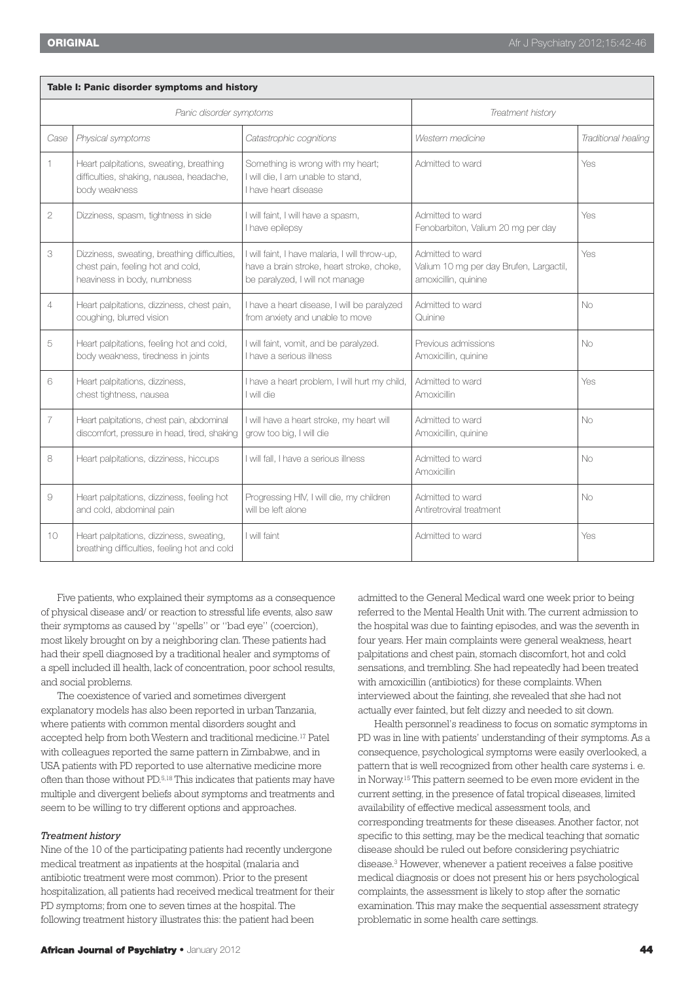| Table I: Panic disorder symptoms and history |                                                                                                                  |                                                                                                                                |                                                                                     |                     |
|----------------------------------------------|------------------------------------------------------------------------------------------------------------------|--------------------------------------------------------------------------------------------------------------------------------|-------------------------------------------------------------------------------------|---------------------|
| Panic disorder symptoms                      |                                                                                                                  |                                                                                                                                | Treatment history                                                                   |                     |
| Case                                         | Physical symptoms                                                                                                | Catastrophic cognitions                                                                                                        | Western medicine                                                                    | Traditional healing |
| 1                                            | Heart palpitations, sweating, breathing<br>difficulties, shaking, nausea, headache,<br>body weakness             | Something is wrong with my heart;<br>I will die, I am unable to stand,<br>I have heart disease                                 | Admitted to ward                                                                    | Yes                 |
| $\mathfrak{2}$                               | Dizziness, spasm, tightness in side                                                                              | I will faint, I will have a spasm,<br>I have epilepsy                                                                          | Admitted to ward<br>Fenobarbiton, Valium 20 mg per day                              | Yes                 |
| 3                                            | Dizziness, sweating, breathing difficulties,<br>chest pain, feeling hot and cold,<br>heaviness in body, numbness | I will faint, I have malaria, I will throw-up,<br>have a brain stroke, heart stroke, choke,<br>be paralyzed, I will not manage | Admitted to ward<br>Valium 10 mg per day Brufen, Largactil,<br>amoxicillin, quinine | Yes                 |
| $\overline{4}$                               | Heart palpitations, dizziness, chest pain,<br>coughing, blurred vision                                           | I have a heart disease, I will be paralyzed<br>from anxiety and unable to move                                                 | Admitted to ward<br>Quinine                                                         | No                  |
| 5                                            | Heart palpitations, feeling hot and cold,<br>body weakness, tiredness in joints                                  | I will faint, vomit, and be paralyzed.<br>I have a serious illness                                                             | Previous admissions<br>Amoxicillin, quinine                                         | No                  |
| 6                                            | Heart palpitations, dizziness,<br>chest tightness, nausea                                                        | I have a heart problem, I will hurt my child,<br>I will die                                                                    | Admitted to ward<br>Amoxicillin                                                     | Yes                 |
| $\overline{7}$                               | Heart palpitations, chest pain, abdominal<br>discomfort, pressure in head, tired, shaking                        | I will have a heart stroke, my heart will<br>grow too big, I will die                                                          | Admitted to ward<br>Amoxicillin, quinine                                            | No                  |
| 8                                            | Heart palpitations, dizziness, hiccups                                                                           | I will fall, I have a serious illness                                                                                          | Admitted to ward<br>Amoxicillin                                                     | <b>No</b>           |
| $\Theta$                                     | Heart palpitations, dizziness, feeling hot<br>and cold, abdominal pain                                           | Progressing HIV, I will die, my children<br>will be left alone                                                                 | Admitted to ward<br>Antiretroviral treatment                                        | <b>No</b>           |
| 10 <sup>°</sup>                              | Heart palpitations, dizziness, sweating,<br>breathing difficulties, feeling hot and cold                         | I will faint                                                                                                                   | Admitted to ward                                                                    | Yes                 |

Five patients, who explained their symptoms as a consequence of physical disease and/ or reaction to stressful life events, also saw their symptoms as caused by "spells" or "bad eye" (coercion), most likely brought on by a neighboring clan.These patients had had their spell diagnosed by a traditional healer and symptoms of a spell included ill health, lack of concentration, poor school results, and social problems.

The coexistence of varied and sometimes divergent explanatory models has also been reported in urban Tanzania, where patients with common mental disorders sought and accepted help from both Western and traditional medicine. <sup>17</sup> Patel with colleagues reported the same pattern in Zimbabwe, and in USA patients with PD reported to use alternative medicine more often than those without PD. 5,18 This indicates that patients may have multiple and divergent beliefs about symptoms and treatments and seem to be willing to try different options and approaches.

#### *Treatment history*

Nine of the 10 of the participating patients had recently undergone medical treatment as inpatients at the hospital (malaria and antibiotic treatment were most common). Prior to the present hospitalization, all patients had received medical treatment for their PD symptoms; from one to seven times at the hospital.The following treatment history illustrates this: the patient had been

**African Journal of Psychiatry •** January 2012 **44**

admitted to the General Medical ward one week prior to being referred to the Mental Health Unit with.The current admission to the hospital was due to fainting episodes, and was the seventh in four years. Her main complaints were general weakness, heart palpitations and chest pain, stomach discomfort, hot and cold sensations, and trembling. She had repeatedly had been treated with amoxicillin (antibiotics) for these complaints.When interviewed about the fainting, she revealed that she had not actually ever fainted, but felt dizzy and needed to sit down.

Health personnel's readiness to focus on somatic symptoms in PD was in line with patients' understanding of their symptoms. As a consequence, psychological symptoms were easily overlooked, a pattern that is well recognized from other health care systems i. e. in Norway. <sup>15</sup> This pattern seemed to be even more evident in the current setting, in the presence of fatal tropical diseases, limited availability of effective medical assessment tools, and corresponding treatments for these diseases.Another factor, not specific to this setting, may be the medical teaching that somatic disease should be ruled out before considering psychiatric disease. <sup>3</sup> However, whenever a patient receives a false positive medical diagnosis or does not present his or hers psychological complaints, the assessment is likely to stop after the somatic examination.This may make the sequential assessment strategy problematic in some health care settings.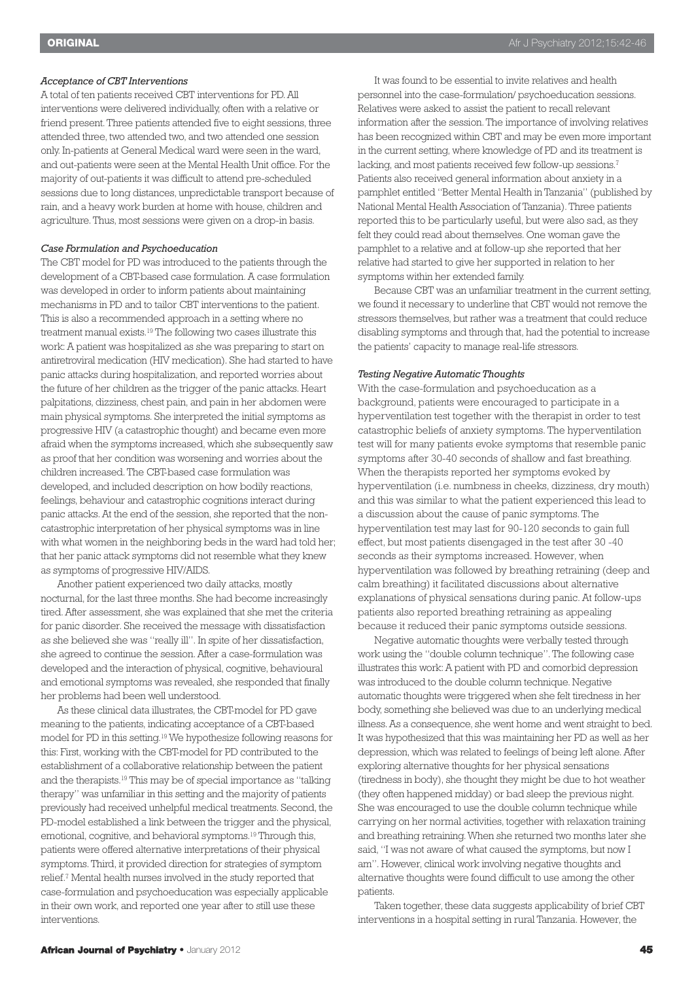### *Acceptance of CBT Interventions*

A total of ten patients received CBT interventions for PD.All interventions were delivered individually, often with a relative or friend present.Three patients attended five to eight sessions, three attended three, two attended two, and two attended one session only. In-patients at General Medical ward were seen in the ward, and out-patients were seen at the Mental Health Unit office. For the majority of out-patients it was difficult to attend pre-scheduled sessions due to long distances, unpredictable transport because of rain, and a heavy work burden at home with house, children and agriculture.Thus, most sessions were given on a drop-in basis.

## *Case Formulation and Psychoeducation*

The CBT model for PD was introduced to the patients through the development of a CBT-based case formulation. A case formulation was developed in order to inform patients about maintaining mechanisms in PD and to tailor CBT interventions to the patient. This is also a recommended approach in a setting where no treatment manual exists. <sup>19</sup> The following two cases illustrate this work:A patient was hospitalized as she was preparing to start on antiretroviral medication (HIV medication). She had started to have panic attacks during hospitalization, and reported worries about the future of her children as the trigger of the panic attacks. Heart palpitations, dizziness, chest pain, and pain in her abdomen were main physical symptoms. She interpreted the initial symptoms as progressive HIV (a catastrophic thought) and became even more afraid when the symptoms increased, which she subsequently saw as proof that her condition was worsening and worries about the children increased.The CBT-based case formulation was developed, and included description on how bodily reactions, feelings, behaviour and catastrophic cognitions interact during panic attacks.At the end of the session, she reported that the noncatastrophic interpretation of her physical symptoms was in line with what women in the neighboring beds in the ward had told her; that her panic attack symptoms did not resemble what they knew as symptoms of progressive HIV/AIDS.

Another patient experienced two daily attacks, mostly nocturnal, for the last three months. She had become increasingly tired.After assessment, she was explained that she met the criteria for panic disorder. She received the message with dissatisfaction as she believed she was "really ill". In spite of her dissatisfaction, she agreed to continue the session. After a case-formulation was developed and the interaction of physical, cognitive, behavioural and emotional symptoms was revealed, she responded that finally her problems had been well understood.

As these clinical data illustrates, the CBT-model for PD gave meaning to the patients, indicating acceptance of a CBT-based model for PD in this setting. <sup>19</sup> We hypothesize following reasons for this: First, working with the CBT-model for PD contributed to the establishment of a collaborative relationship between the patient and the therapists. <sup>19</sup> This may be of special importance as "talking therapy" was unfamiliar in this setting and the majority of patients previously had received unhelpful medical treatments. Second, the PD-model established a link between the trigger and the physical, emotional, cognitive, and behavioral symptoms. <sup>19</sup> Through this, patients were offered alternative interpretations of their physical symptoms.Third, it provided direction for strategies of symptom relief. <sup>7</sup> Mental health nurses involved in the study reported that case-formulation and psychoeducation was especially applicable in their own work, and reported one year after to still use these interventions.

It was found to be essential to invite relatives and health personnel into the case-formulation/ psychoeducation sessions. Relatives were asked to assist the patient to recall relevant information after the session.The importance of involving relatives has been recognized within CBT and may be even more important in the current setting, where knowledge of PD and its treatment is lacking, and most patients received few follow-up sessions.<sup>7</sup> Patients also received general information about anxiety in a pamphlet entitled "Better Mental Health in Tanzania" (published by National Mental Health Association of Tanzania).Three patients reported this to be particularly useful, but were also sad, as they felt they could read about themselves. One woman gave the pamphlet to a relative and at follow-up she reported that her relative had started to give her supported in relation to her symptoms within her extended family.

Because CBT was an unfamiliar treatment in the current setting, we found it necessary to underline that CBT would not remove the stressors themselves, but rather was a treatment that could reduce disabling symptoms and through that, had the potential to increase the patients' capacity to manage real-life stressors.

#### *Testing Negative Automatic Thoughts*

With the case-formulation and psychoeducation as a background, patients were encouraged to participate in a hyperventilation test together with the therapist in order to test catastrophic beliefs of anxiety symptoms. The hyperventilation test will for many patients evoke symptoms that resemble panic symptoms after 30-40 seconds of shallow and fast breathing. When the therapists reported her symptoms evoked by hyperventilation (i.e. numbness in cheeks, dizziness, dry mouth) and this was similar to what the patient experienced this lead to a discussion about the cause of panic symptoms. The hyperventilation test may last for 90-120 seconds to gain full effect, but most patients disengaged in the test after 30 -40 seconds as their symptoms increased. However, when hyperventilation was followed by breathing retraining (deep and calm breathing) it facilitated discussions about alternative explanations of physical sensations during panic. At follow-ups patients also reported breathing retraining as appealing because it reduced their panic symptoms outside sessions.

Negative automatic thoughts were verbally tested through work using the "double column technique".The following case illustrates this work:A patient with PD and comorbid depression was introduced to the double column technique. Negative automatic thoughts were triggered when she felt tiredness in her body, something she believed was due to an underlying medical illness. As a consequence, she went home and went straight to bed. It was hypothesized that this was maintaining her PD as well as her depression, which was related to feelings of being left alone. After exploring alternative thoughts for her physical sensations (tiredness in body), she thought they might be due to hot weather (they often happened midday) or bad sleep the previous night. She was encouraged to use the double column technique while carrying on her normal activities, together with relaxation training and breathing retraining.When she returned two months later she said, "I was not aware of what caused the symptoms, but now I am". However, clinical work involving negative thoughts and alternative thoughts were found difficult to use among the other patients.

Taken together, these data suggests applicability of brief CBT interventions in a hospital setting in rural Tanzania. However, the